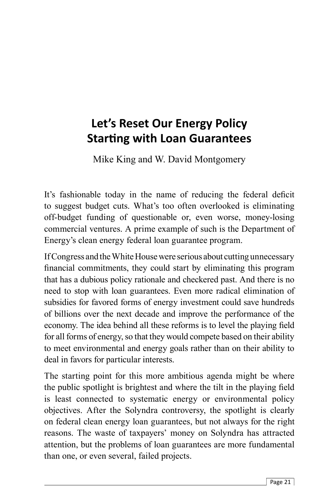## **Let's Reset Our Energy Policy Starti ng with Loan Guarantees**

Mike King and W. David Montgomery

It's fashionable today in the name of reducing the federal deficit to suggest budget cuts. What's too often overlooked is eliminating off-budget funding of questionable or, even worse, money-losing commercial ventures. A prime example of such is the Department of Energy's clean energy federal loan guarantee program.

If Congress and the White House were serious about cutting unnecessary financial commitments, they could start by eliminating this program that has a dubious policy rationale and checkered past. And there is no need to stop with loan guarantees. Even more radical elimination of subsidies for favored forms of energy investment could save hundreds of billions over the next decade and improve the performance of the economy. The idea behind all these reforms is to level the playing field for all forms of energy, so that they would compete based on their ability to meet environmental and energy goals rather than on their ability to deal in favors for particular interests.

The starting point for this more ambitious agenda might be where the public spotlight is brightest and where the tilt in the playing field is least connected to systematic energy or environmental policy objectives. After the Solyndra controversy, the spotlight is clearly on federal clean energy loan guarantees, but not always for the right reasons. The waste of taxpayers' money on Solyndra has attracted attention, but the problems of loan guarantees are more fundamental than one, or even several, failed projects.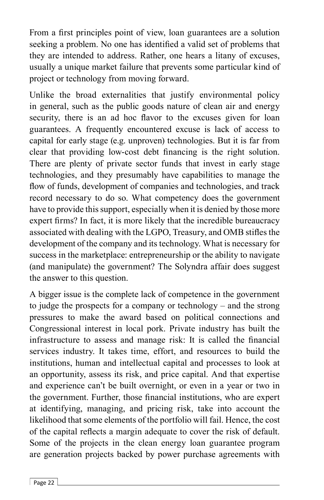From a first principles point of view, loan guarantees are a solution seeking a problem. No one has identified a valid set of problems that they are intended to address. Rather, one hears a litany of excuses, usually a unique market failure that prevents some particular kind of project or technology from moving forward.

Unlike the broad externalities that justify environmental policy in general, such as the public goods nature of clean air and energy security, there is an ad hoc flavor to the excuses given for loan guarantees. A frequently encountered excuse is lack of access to capital for early stage (e.g. unproven) technologies. But it is far from clear that providing low-cost debt financing is the right solution. There are plenty of private sector funds that invest in early stage technologies, and they presumably have capabilities to manage the flow of funds, development of companies and technologies, and track record necessary to do so. What competency does the government have to provide this support, especially when it is denied by those more expert firms? In fact, it is more likely that the incredible bureaucracy associated with dealing with the LGPO, Treasury, and OMB stifles the development of the company and its technology. What is necessary for success in the marketplace: entrepreneurship or the ability to navigate (and manipulate) the government? The Solyndra affair does suggest the answer to this question.

A bigger issue is the complete lack of competence in the government to judge the prospects for a company or technology – and the strong pressures to make the award based on political connections and Congressional interest in local pork. Private industry has built the infrastructure to assess and manage risk: It is called the financial services industry. It takes time, effort, and resources to build the institutions, human and intellectual capital and processes to look at an opportunity, assess its risk, and price capital. And that expertise and experience can't be built overnight, or even in a year or two in the government. Further, those financial institutions, who are expert at identifying, managing, and pricing risk, take into account the likelihood that some elements of the portfolio will fail. Hence, the cost of the capital reflects a margin adequate to cover the risk of default. Some of the projects in the clean energy loan guarantee program are generation projects backed by power purchase agreements with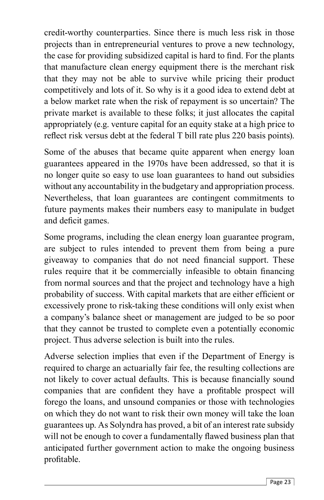credit-worthy counterparties. Since there is much less risk in those projects than in entrepreneurial ventures to prove a new technology, the case for providing subsidized capital is hard to find. For the plants that manufacture clean energy equipment there is the merchant risk that they may not be able to survive while pricing their product competitively and lots of it. So why is it a good idea to extend debt at a below market rate when the risk of repayment is so uncertain? The private market is available to these folks; it just allocates the capital appropriately (e.g. venture capital for an equity stake at a high price to reflect risk versus debt at the federal T bill rate plus 220 basis points).

Some of the abuses that became quite apparent when energy loan guarantees appeared in the 1970s have been addressed, so that it is no longer quite so easy to use loan guarantees to hand out subsidies without any accountability in the budgetary and appropriation process. Nevertheless, that loan guarantees are contingent commitments to future payments makes their numbers easy to manipulate in budget and deficit games.

Some programs, including the clean energy loan guarantee program, are subject to rules intended to prevent them from being a pure giveaway to companies that do not need financial support. These rules require that it be commercially infeasible to obtain financing from normal sources and that the project and technology have a high probability of success. With capital markets that are either efficient or excessively prone to risk-taking these conditions will only exist when a company's balance sheet or management are judged to be so poor that they cannot be trusted to complete even a potentially economic project. Thus adverse selection is built into the rules.

Adverse selection implies that even if the Department of Energy is required to charge an actuarially fair fee, the resulting collections are not likely to cover actual defaults. This is because financially sound companies that are confident they have a profitable prospect will forego the loans, and unsound companies or those with technologies on which they do not want to risk their own money will take the loan guarantees up. As Solyndra has proved, a bit of an interest rate subsidy will not be enough to cover a fundamentally flawed business plan that anticipated further government action to make the ongoing business profitable.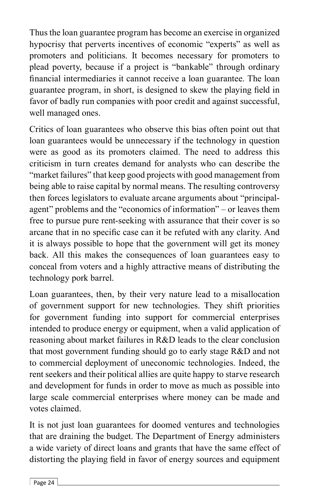Thus the loan guarantee program has become an exercise in organized hypocrisy that perverts incentives of economic "experts" as well as promoters and politicians. It becomes necessary for promoters to plead poverty, because if a project is "bankable" through ordinary financial intermediaries it cannot receive a loan guarantee. The loan guarantee program, in short, is designed to skew the playing field in favor of badly run companies with poor credit and against successful, well managed ones.

Critics of loan guarantees who observe this bias often point out that loan guarantees would be unnecessary if the technology in question were as good as its promoters claimed. The need to address this criticism in turn creates demand for analysts who can describe the "market failures" that keep good projects with good management from being able to raise capital by normal means. The resulting controversy then forces legislators to evaluate arcane arguments about "principalagent" problems and the "economics of information" – or leaves them free to pursue pure rent-seeking with assurance that their cover is so arcane that in no specific case can it be refuted with any clarity. And it is always possible to hope that the government will get its money back. All this makes the consequences of loan guarantees easy to conceal from voters and a highly attractive means of distributing the technology pork barrel.

Loan guarantees, then, by their very nature lead to a misallocation of government support for new technologies. They shift priorities for government funding into support for commercial enterprises intended to produce energy or equipment, when a valid application of reasoning about market failures in R&D leads to the clear conclusion that most government funding should go to early stage R&D and not to commercial deployment of uneconomic technologies. Indeed, the rent seekers and their political allies are quite happy to starve research and development for funds in order to move as much as possible into large scale commercial enterprises where money can be made and votes claimed.

It is not just loan guarantees for doomed ventures and technologies that are draining the budget. The Department of Energy administers a wide variety of direct loans and grants that have the same effect of distorting the playing field in favor of energy sources and equipment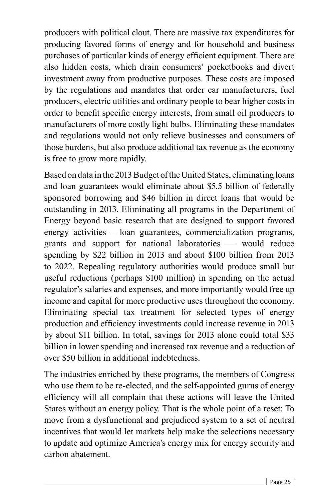producers with political clout. There are massive tax expenditures for producing favored forms of energy and for household and business purchases of particular kinds of energy efficient equipment. There are also hidden costs, which drain consumers' pocketbooks and divert investment away from productive purposes. These costs are imposed by the regulations and mandates that order car manufacturers, fuel producers, electric utilities and ordinary people to bear higher costs in order to benefit specific energy interests, from small oil producers to manufacturers of more costly light bulbs. Eliminating these mandates and regulations would not only relieve businesses and consumers of those burdens, but also produce additional tax revenue as the economy is free to grow more rapidly.

Based on data in the 2013 Budget of the United States, eliminating loans and loan guarantees would eliminate about \$5.5 billion of federally sponsored borrowing and \$46 billion in direct loans that would be outstanding in 2013. Eliminating all programs in the Department of Energy beyond basic research that are designed to support favored energy activities – loan guarantees, commercialization programs, grants and support for national laboratories — would reduce spending by \$22 billion in 2013 and about \$100 billion from 2013 to 2022. Repealing regulatory authorities would produce small but useful reductions (perhaps \$100 million) in spending on the actual regulator's salaries and expenses, and more importantly would free up income and capital for more productive uses throughout the economy. Eliminating special tax treatment for selected types of energy production and efficiency investments could increase revenue in 2013 by about \$11 billion. In total, savings for 2013 alone could total \$33 billion in lower spending and increased tax revenue and a reduction of over \$50 billion in additional indebtedness.

The industries enriched by these programs, the members of Congress who use them to be re-elected, and the self-appointed gurus of energy efficiency will all complain that these actions will leave the United States without an energy policy. That is the whole point of a reset: To move from a dysfunctional and prejudiced system to a set of neutral incentives that would let markets help make the selections necessary to update and optimize America's energy mix for energy security and carbon abatement.